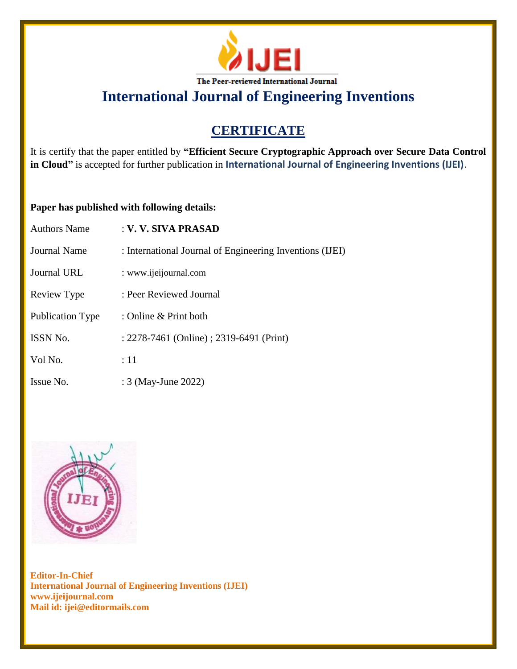

# **CERTIFICATE**

It is certify that the paper entitled by **"Efficient Secure Cryptographic Approach over Secure Data Control in Cloud"** is accepted for further publication in **International Journal of Engineering Inventions (IJEI)**.

#### **Paper has published with following details:**

| <b>Authors Name</b> | : V. V. SIVA PRASAD                                      |
|---------------------|----------------------------------------------------------|
| <b>Journal Name</b> | : International Journal of Engineering Inventions (IJEI) |
| Journal URL         | : www.ijeijournal.com                                    |
| Review Type         | : Peer Reviewed Journal                                  |
| Publication Type    | : Online & Print both                                    |
| <b>ISSN No.</b>     | : 2278-7461 (Online) ; 2319-6491 (Print)                 |
| Vol No.             | :11                                                      |
| Issue No.           | : 3 (May-June 2022)                                      |

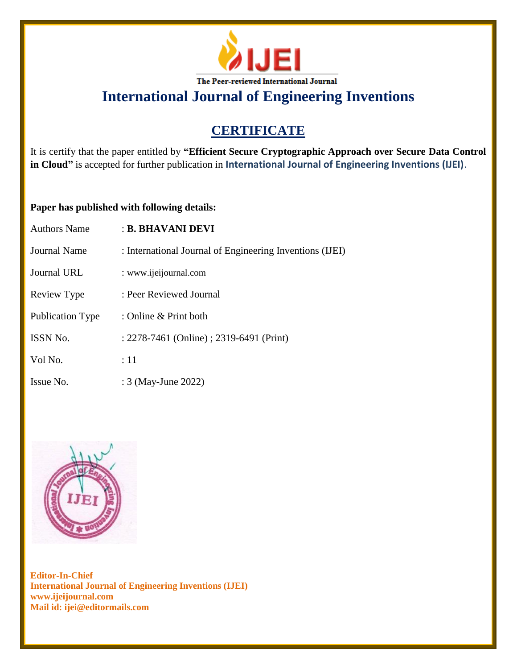

# **CERTIFICATE**

It is certify that the paper entitled by **"Efficient Secure Cryptographic Approach over Secure Data Control in Cloud"** is accepted for further publication in **International Journal of Engineering Inventions (IJEI)**.

#### **Paper has published with following details:**

| <b>Authors Name</b>     | : B. BHAVANI DEVI                                        |
|-------------------------|----------------------------------------------------------|
| <b>Journal Name</b>     | : International Journal of Engineering Inventions (IJEI) |
| Journal URL             | : www.ijeijournal.com                                    |
| Review Type             | : Peer Reviewed Journal                                  |
| <b>Publication Type</b> | : Online & Print both                                    |
| ISSN No.                | : 2278-7461 (Online) ; 2319-6491 (Print)                 |
| Vol No.                 | :11                                                      |
| Issue No.               | : 3 (May-June 2022)                                      |

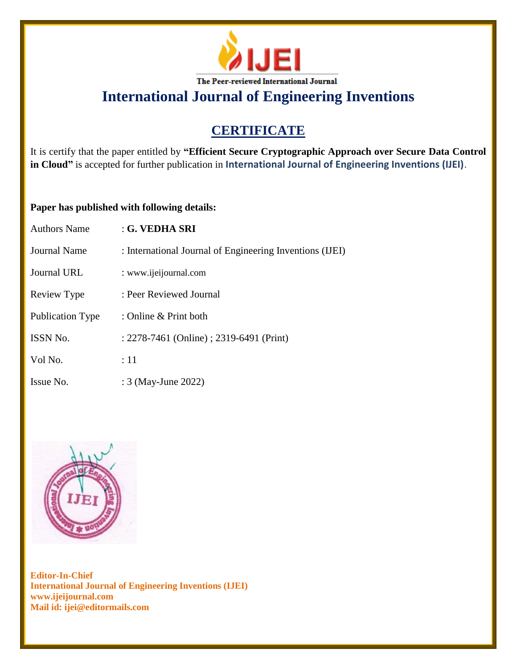

# **CERTIFICATE**

It is certify that the paper entitled by **"Efficient Secure Cryptographic Approach over Secure Data Control in Cloud"** is accepted for further publication in **International Journal of Engineering Inventions (IJEI)**.

### **Paper has published with following details:**

| <b>Authors Name</b>     | : G. VEDHA SRI                                           |
|-------------------------|----------------------------------------------------------|
| <b>Journal Name</b>     | : International Journal of Engineering Inventions (IJEI) |
| Journal URL             | : www.ijeijournal.com                                    |
| Review Type             | : Peer Reviewed Journal                                  |
| <b>Publication Type</b> | : Online & Print both                                    |
| ISSN No.                | : 2278-7461 (Online) ; 2319-6491 (Print)                 |
| Vol No.                 | :11                                                      |
| Issue No.               | : 3 (May-June 2022)                                      |

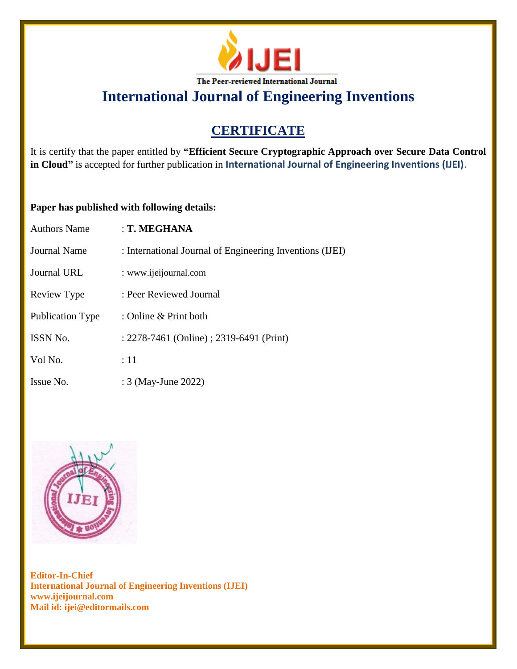

# **CERTIFICATE**

It is certify that the paper entitled by **"Efficient Secure Cryptographic Approach over Secure Data Control in Cloud"** is accepted for further publication in **International Journal of Engineering Inventions (IJEI)**.

### **Paper has published with following details:**

| <b>Authors Name</b> | : T. MEGHANA                                             |
|---------------------|----------------------------------------------------------|
| <b>Journal Name</b> | : International Journal of Engineering Inventions (IJEI) |
| Journal URL         | : www.ijeijournal.com                                    |
| Review Type         | : Peer Reviewed Journal                                  |
| Publication Type    | : Online & Print both                                    |
| ISSN No.            | : 2278-7461 (Online) ; 2319-6491 (Print)                 |
| Vol No.             | :11                                                      |
| Issue No.           | : 3 (May-June 2022)                                      |